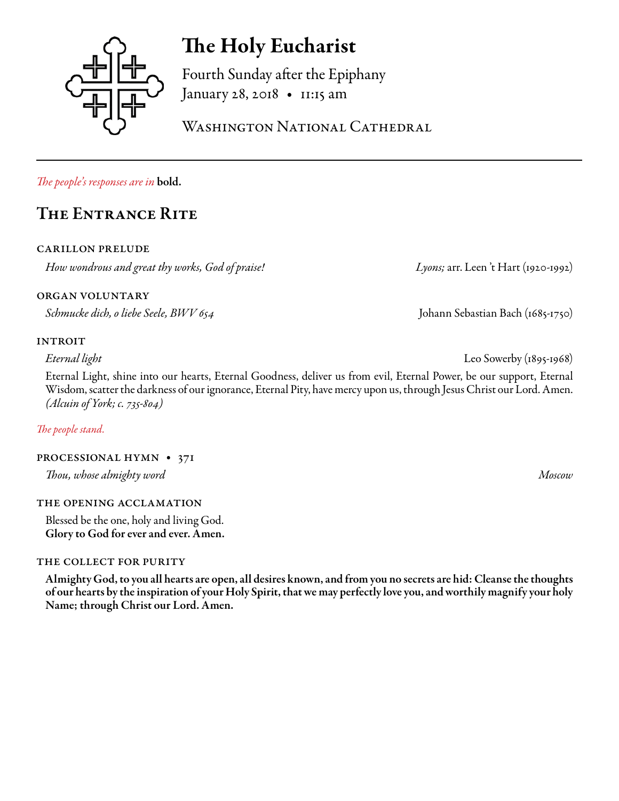

# The Holy Eucharist

Fourth Sunday after the Epiphany January 28, 2018 • 11:15 am

WASHINGTON NATIONAL CATHEDRAL

*The people's responses are in* bold.

# The Entrance Rite

#### carillon prelude

*How wondrous and great thy works, God of praise! Lyons;* arr. Leen 't Hart (1920-1992)

#### organ voluntary

*Schmucke dich, o liebe Seele, BWV 654* Johann Sebastian Bach (1685-1750)

### **INTROIT**

Eternal Light, shine into our hearts, Eternal Goodness, deliver us from evil, Eternal Power, be our support, Eternal Wisdom, scatter the darkness of our ignorance, Eternal Pity, have mercy upon us, through Jesus Christ our Lord. Amen. *(Alcuin of York; c. 735-804)*

### *The people stand.*

#### processional hymn • 371

*Thou, whose almighty word Moscow*

#### the opening acclamation

Blessed be the one, holy and living God. Glory to God for ever and ever. Amen.

#### the collect for purity

Almighty God, to you all hearts are open, all desires known, and from you no secrets are hid: Cleanse the thoughts of our hearts by the inspiration of your Holy Spirit, that we may perfectly love you, and worthily magnify your holy Name; through Christ our Lord. Amen.

*Eternal light* Leo Sowerby (1895-1968)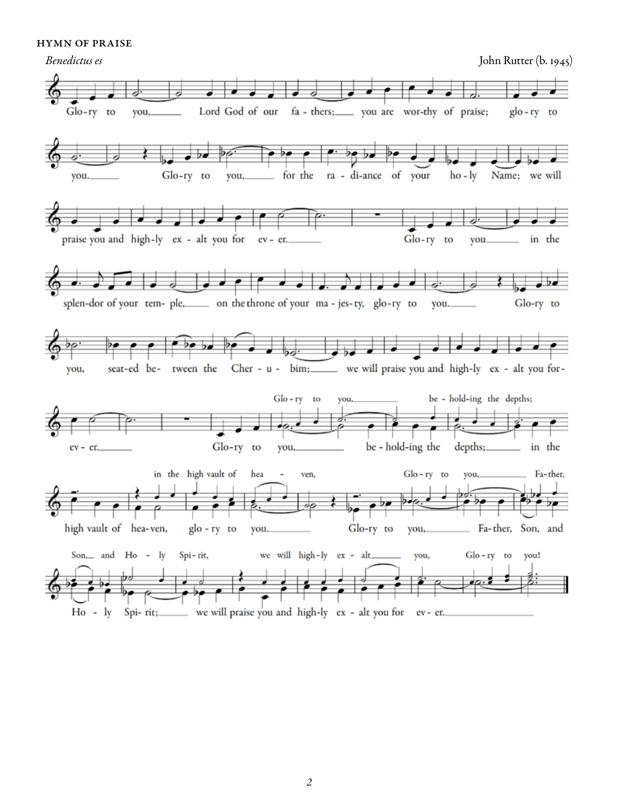#### hymn of praise

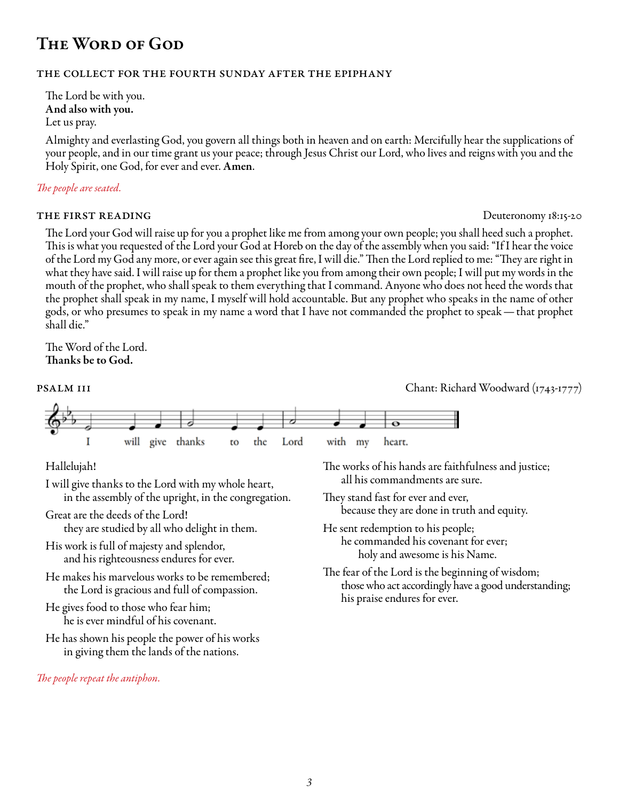# THE WORD OF GOD

#### the collect for the fourth sunday after the epiphany

The Lord be with you. And also with you. Let us pray.

Almighty and everlasting God, you govern all things both in heaven and on earth: Mercifully hear the supplications of your people, and in our time grant us your peace; through Jesus Christ our Lord, who lives and reigns with you and the Holy Spirit, one God, for ever and ever. Amen.

#### *The people are seated.*

#### THE FIRST READING Deuteronomy 18:15-20

The Lord your God will raise up for you a prophet like me from among your own people; you shall heed such a prophet. This is what you requested of the Lord your God at Horeb on the day of the assembly when you said: "If I hear the voice of the Lord my God any more, or ever again see this great fire, I will die." Then the Lord replied to me: "They are right in what they have said. I will raise up for them a prophet like you from among their own people; I will put my words in the mouth of the prophet, who shall speak to them everything that I command. Anyone who does not heed the words that the prophet shall speak in my name, I myself will hold accountable. But any prophet who speaks in the name of other gods, or who presumes to speak in my name a word that I have not commanded the prophet to speak—that prophet shall die."

The Word of the Lord. Thanks be to God.

psalm 111 Chant: Richard Woodward (1743-1777)



Hallelujah!

I will give thanks to the Lord with my whole heart, in the assembly of the upright, in the congregation.

- Great are the deeds of the Lord! they are studied by all who delight in them.
- His work is full of majesty and splendor, and his righteousness endures for ever.
- He makes his marvelous works to be remembered; the Lord is gracious and full of compassion.
- He gives food to those who fear him; he is ever mindful of his covenant.
- He has shown his people the power of his works in giving them the lands of the nations.

*The people repeat the antiphon.* 

The works of his hands are faithfulness and justice; all his commandments are sure.

- They stand fast for ever and ever, because they are done in truth and equity.
- He sent redemption to his people; he commanded his covenant for ever; holy and awesome is his Name.
- The fear of the Lord is the beginning of wisdom; those who act accordingly have a good understanding; his praise endures for ever.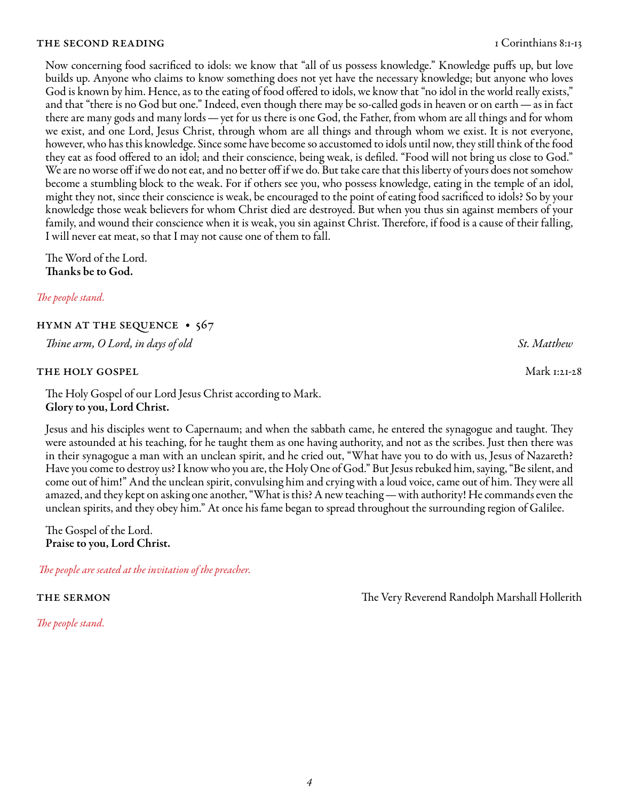#### THE SECOND READING 1 Corinthians 8:1-13

Now concerning food sacrificed to idols: we know that "all of us possess knowledge." Knowledge puffs up, but love builds up. Anyone who claims to know something does not yet have the necessary knowledge; but anyone who loves God is known by him. Hence, as to the eating of food offered to idols, we know that "no idol in the world really exists," and that "there is no God but one." Indeed, even though there may be so-called gods in heaven or on earth—as in fact there are many gods and many lords—yet for us there is one God, the Father, from whom are all things and for whom we exist, and one Lord, Jesus Christ, through whom are all things and through whom we exist. It is not everyone, however, who has this knowledge. Since some have become so accustomed to idols until now, they still think of the food they eat as food offered to an idol; and their conscience, being weak, is defiled. "Food will not bring us close to God." We are no worse off if we do not eat, and no better off if we do. But take care that this liberty of yours does not somehow become a stumbling block to the weak. For if others see you, who possess knowledge, eating in the temple of an idol, might they not, since their conscience is weak, be encouraged to the point of eating food sacrificed to idols? So by your knowledge those weak believers for whom Christ died are destroyed. But when you thus sin against members of your family, and wound their conscience when it is weak, you sin against Christ. Therefore, if food is a cause of their falling, I will never eat meat, so that I may not cause one of them to fall.

The Word of the Lord. Thanks be to God.

*The people stand.*

#### HYMN AT THE SEQUENCE • 567

*Thine arm, O Lord, in days of old* St. Matthew

#### THE HOLY GOSPEL Mark 1:21-28

The Holy Gospel of our Lord Jesus Christ according to Mark. Glory to you, Lord Christ.

Jesus and his disciples went to Capernaum; and when the sabbath came, he entered the synagogue and taught. They were astounded at his teaching, for he taught them as one having authority, and not as the scribes. Just then there was in their synagogue a man with an unclean spirit, and he cried out, "What have you to do with us, Jesus of Nazareth? Have you come to destroy us? I know who you are, the Holy One of God." But Jesus rebuked him, saying, "Be silent, and come out of him!" And the unclean spirit, convulsing him and crying with a loud voice, came out of him. They were all amazed, and they kept on asking one another, "What is this? A new teaching—with authority! He commands even the unclean spirits, and they obey him." At once his fame began to spread throughout the surrounding region of Galilee.

The Gospel of the Lord. Praise to you, Lord Christ.

*The people are seated at the invitation of the preacher.*

*The people stand.*

the sermon The Very Reverend Randolph Marshall Hollerith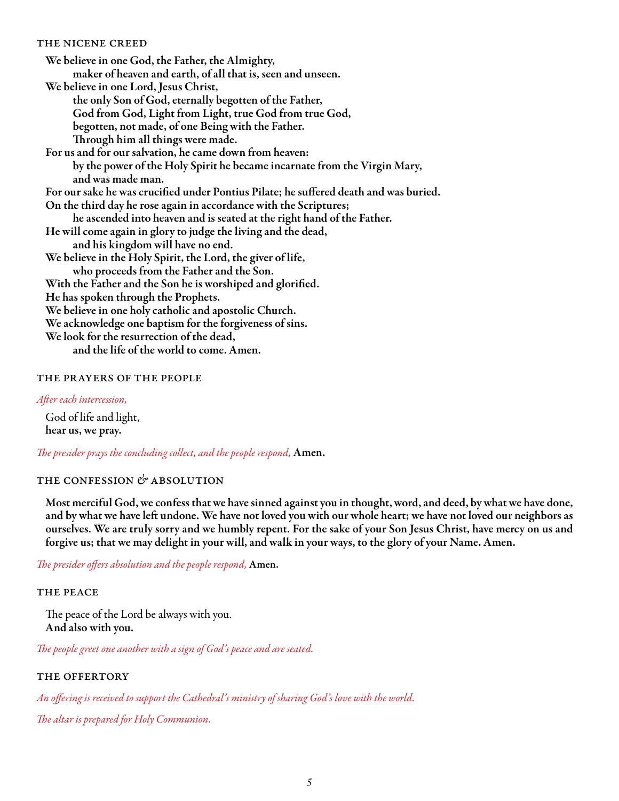#### the nicene creed

We believe in one God, the Father, the Almighty, maker of heaven and earth, of all that is, seen and unseen. We believe in one Lord, Jesus Christ, the only Son of God, eternally begotten of the Father, God from God, Light from Light, true God from true God, begotten, not made, of one Being with the Father. Through him all things were made. For us and for our salvation, he came down from heaven: by the power of the Holy Spirit he became incarnate from the Virgin Mary, and was made man. For our sake he was crucified under Pontius Pilate; he suffered death and was buried. On the third day he rose again in accordance with the Scriptures; he ascended into heaven and is seated at the right hand of the Father. He will come again in glory to judge the living and the dead, and his kingdom will have no end. We believe in the Holy Spirit, the Lord, the giver of life, who proceeds from the Father and the Son. With the Father and the Son he is worshiped and glorified. He has spoken through the Prophets. We believe in one holy catholic and apostolic Church. We acknowledge one baptism for the forgiveness of sins. We look for the resurrection of the dead,

and the life of the world to come. Amen.

#### the prayers of the people

*After each intercession,*

God of life and light, hear us, we pray.

*The presider prays the concluding collect, and the people respond,* Amen.

#### the confession *&* absolution

Most merciful God, we confess that we have sinned against you in thought, word, and deed, by what we have done, and by what we have left undone. We have not loved you with our whole heart; we have not loved our neighbors as ourselves. We are truly sorry and we humbly repent. For the sake of your Son Jesus Christ, have mercy on us and forgive us; that we may delight in your will, and walk in your ways, to the glory of your Name. Amen.

*The presider offers absolution and the people respond,* Amen.

#### the peace

The peace of the Lord be always with you. And also with you.

*The people greet one another with a sign of God's peace and are seated.*

#### the offertory

*An offering is received to support the Cathedral's ministry of sharing God's love with the world.*

*The altar is prepared for Holy Communion.*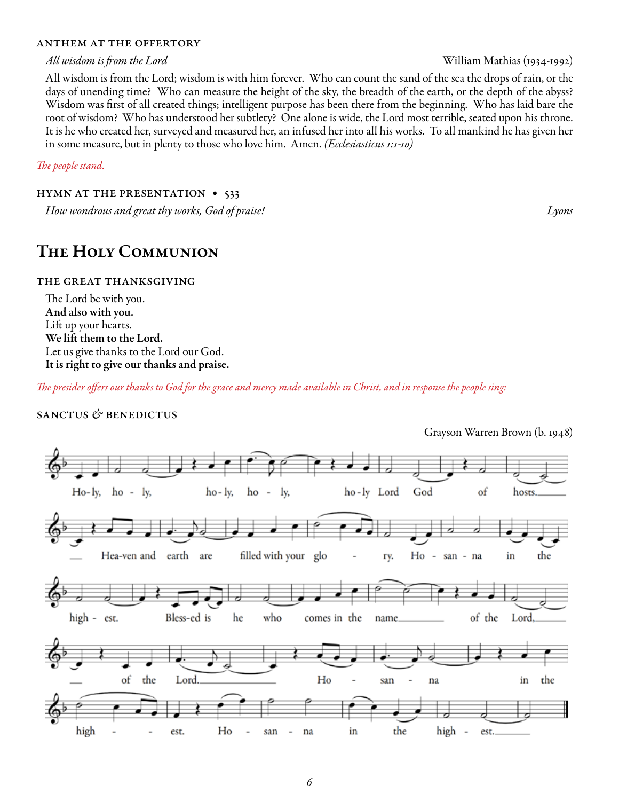#### anthem at the offertory

*All wisdom is from the Lord* William Mathias (1934-1992)

All wisdom is from the Lord; wisdom is with him forever. Who can count the sand of the sea the drops of rain, or the days of unending time? Who can measure the height of the sky, the breadth of the earth, or the depth of the abyss? Wisdom was first of all created things; intelligent purpose has been there from the beginning. Who has laid bare the root of wisdom? Who has understood her subtlety? One alone is wide, the Lord most terrible, seated upon his throne. It is he who created her, surveyed and measured her, an infused her into all his works. To all mankind he has given her in some measure, but in plenty to those who love him. Amen. *(Ecclesiasticus 1:1-10)*

*The people stand.*

hymn at the presentation • 533

*How wondrous and great thy works, God of praise! Lyons*

## The Holy Communion

#### the great thanksgiving

The Lord be with you. And also with you. Lift up your hearts. We lift them to the Lord. Let us give thanks to the Lord our God. It is right to give our thanks and praise.

*The presider offers our thanks to God for the grace and mercy made available in Christ, and in response the people sing:* 

#### sanctus *&* benedictus

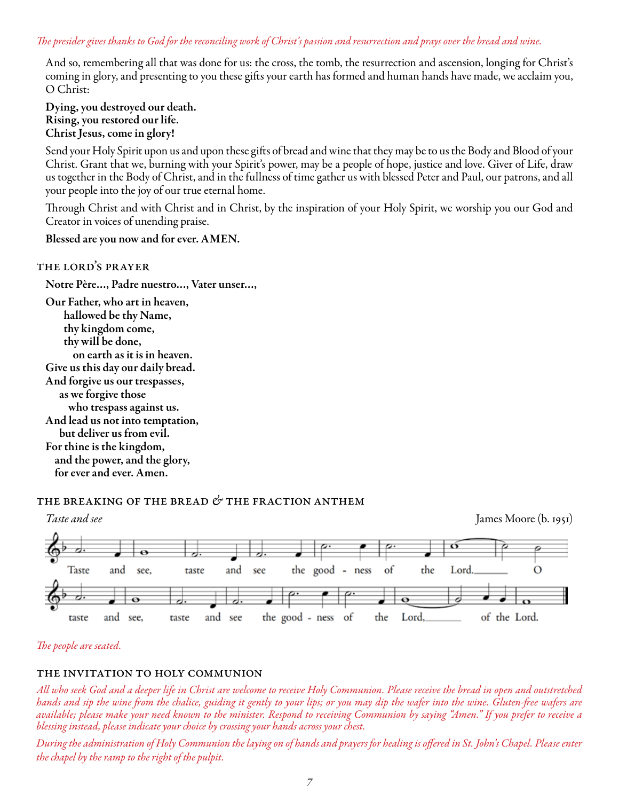#### *The presider gives thanks to God for the reconciling work of Christ's passion and resurrection and prays over the bread and wine.*

And so, remembering all that was done for us: the cross, the tomb, the resurrection and ascension, longing for Christ's coming in glory, and presenting to you these gifts your earth has formed and human hands have made, we acclaim you, O Christ:

Dying, you destroyed our death. Rising, you restored our life. Christ Jesus, come in glory!

Send your Holy Spirit upon us and upon these gifts of bread and wine that they may be to us the Body and Blood of your Christ. Grant that we, burning with your Spirit's power, may be a people of hope, justice and love. Giver of Life, draw us together in the Body of Christ, and in the fullness of time gather us with blessed Peter and Paul, our patrons, and all your people into the joy of our true eternal home.

Through Christ and with Christ and in Christ, by the inspiration of your Holy Spirit, we worship you our God and Creator in voices of unending praise.

Blessed are you now and for ever. AMEN.

#### the lord's prayer

Notre Père…, Padre nuestro…, Vater unser…,

Our Father, who art in heaven, hallowed be thy Name, thy kingdom come, thy will be done, on earth as it is in heaven. Give us this day our daily bread. And forgive us our trespasses, as we forgive those who trespass against us. And lead us not into temptation, but deliver us from evil. For thine is the kingdom, and the power, and the glory, for ever and ever. Amen.

#### the breaking of the bread *&* the fraction anthem



*The people are seated.*

#### the invitation to holy communion

*All who seek God and a deeper life in Christ are welcome to receive Holy Communion. Please receive the bread in open and outstretched hands and sip the wine from the chalice, guiding it gently to your lips; or you may dip the wafer into the wine. Gluten-free wafers are available; please make your need known to the minister. Respond to receiving Communion by saying "Amen." If you prefer to receive a blessing instead, please indicate your choice by crossing your hands across your chest.* 

*During the administration of Holy Communion the laying on of hands and prayers for healing is offered in St. John's Chapel. Please enter the chapel by the ramp to the right of the pulpit.*